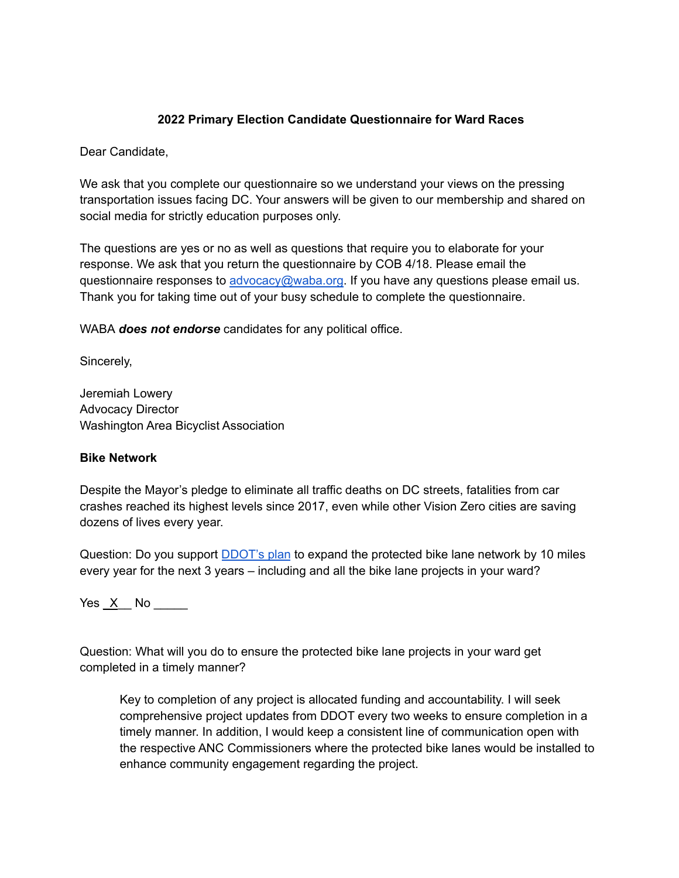# **2022 Primary Election Candidate Questionnaire for Ward Races**

Dear Candidate,

We ask that you complete our questionnaire so we understand your views on the pressing transportation issues facing DC. Your answers will be given to our membership and shared on social media for strictly education purposes only.

The questions are yes or no as well as questions that require you to elaborate for your response. We ask that you return the questionnaire by COB 4/18. Please email the questionnaire responses to [advocacy@waba.org.](mailto:jeremiah.lowery@waba.org) If you have any questions please email us. Thank you for taking time out of your busy schedule to complete the questionnaire.

WABA *does not endorse* candidates for any political office.

Sincerely,

Jeremiah Lowery Advocacy Director Washington Area Bicyclist Association

### **Bike Network**

Despite the Mayor's pledge to eliminate all traffic deaths on DC streets, fatalities from car crashes reached its highest levels since 2017, even while other Vision Zero cities are saving dozens of lives every year.

Question: Do you support **[DDOT's plan](https://ddot.dc.gov/page/bicycle-lanes)** to expand the protected bike lane network by 10 miles every year for the next 3 years – including and all the bike lane projects in your ward?

Yes \_X\_\_ No \_\_\_\_\_

Question: What will you do to ensure the protected bike lane projects in your ward get completed in a timely manner?

Key to completion of any project is allocated funding and accountability. I will seek comprehensive project updates from DDOT every two weeks to ensure completion in a timely manner. In addition, I would keep a consistent line of communication open with the respective ANC Commissioners where the protected bike lanes would be installed to enhance community engagement regarding the project.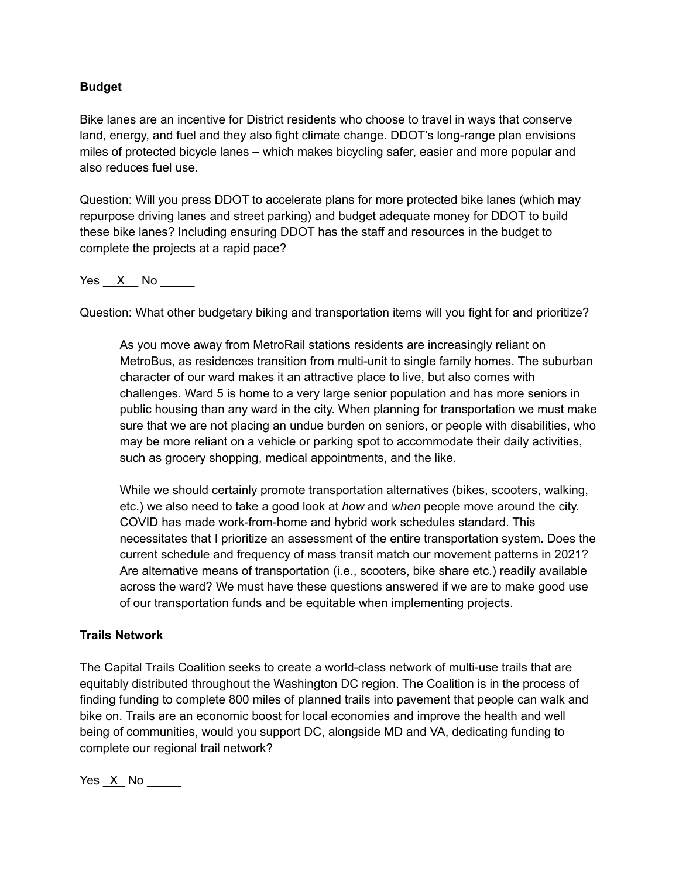## **Budget**

Bike lanes are an incentive for District residents who choose to travel in ways that conserve land, energy, and fuel and they also fight climate change. DDOT's long-range plan envisions miles of protected bicycle lanes – which makes bicycling safer, easier and more popular and also reduces fuel use.

Question: Will you press DDOT to accelerate plans for more protected bike lanes (which may repurpose driving lanes and street parking) and budget adequate money for DDOT to build these bike lanes? Including ensuring DDOT has the staff and resources in the budget to complete the projects at a rapid pace?

Yes X No

Question: What other budgetary biking and transportation items will you fight for and prioritize?

As you move away from MetroRail stations residents are increasingly reliant on MetroBus, as residences transition from multi-unit to single family homes. The suburban character of our ward makes it an attractive place to live, but also comes with challenges. Ward 5 is home to a very large senior population and has more seniors in public housing than any ward in the city. When planning for transportation we must make sure that we are not placing an undue burden on seniors, or people with disabilities, who may be more reliant on a vehicle or parking spot to accommodate their daily activities, such as grocery shopping, medical appointments, and the like.

While we should certainly promote transportation alternatives (bikes, scooters, walking, etc.) we also need to take a good look at *how* and *when* people move around the city. COVID has made work-from-home and hybrid work schedules standard. This necessitates that I prioritize an assessment of the entire transportation system. Does the current schedule and frequency of mass transit match our movement patterns in 2021? Are alternative means of transportation (i.e., scooters, bike share etc.) readily available across the ward? We must have these questions answered if we are to make good use of our transportation funds and be equitable when implementing projects.

### **Trails Network**

The Capital Trails Coalition seeks to create a world-class network of multi-use trails that are equitably distributed throughout the Washington DC region. The Coalition is in the process of finding funding to complete 800 miles of planned trails into pavement that people can walk and bike on. Trails are an economic boost for local economies and improve the health and well being of communities, would you support DC, alongside MD and VA, dedicating funding to complete our regional trail network?

 $Yes \ X No \ \_$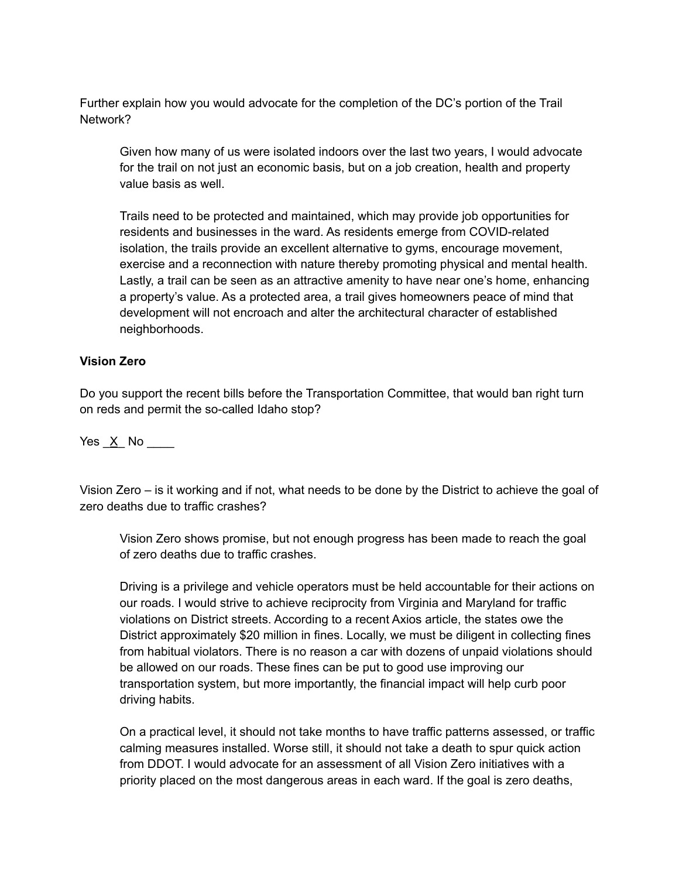Further explain how you would advocate for the completion of the DC's portion of the Trail Network?

Given how many of us were isolated indoors over the last two years, I would advocate for the trail on not just an economic basis, but on a job creation, health and property value basis as well.

Trails need to be protected and maintained, which may provide job opportunities for residents and businesses in the ward. As residents emerge from COVID-related isolation, the trails provide an excellent alternative to gyms, encourage movement, exercise and a reconnection with nature thereby promoting physical and mental health. Lastly, a trail can be seen as an attractive amenity to have near one's home, enhancing a property's value. As a protected area, a trail gives homeowners peace of mind that development will not encroach and alter the architectural character of established neighborhoods.

### **Vision Zero**

Do you support the recent bills before the Transportation Committee, that would ban right turn on reds and permit the so-called Idaho stop?

Yes X No  $\blacksquare$ 

Vision Zero – is it working and if not, what needs to be done by the District to achieve the goal of zero deaths due to traffic crashes?

Vision Zero shows promise, but not enough progress has been made to reach the goal of zero deaths due to traffic crashes.

Driving is a privilege and vehicle operators must be held accountable for their actions on our roads. I would strive to achieve reciprocity from Virginia and Maryland for traffic violations on District streets. According to a recent Axios article, the states owe the District approximately \$20 million in fines. Locally, we must be diligent in collecting fines from habitual violators. There is no reason a car with dozens of unpaid violations should be allowed on our roads. These fines can be put to good use improving our transportation system, but more importantly, the financial impact will help curb poor driving habits.

On a practical level, it should not take months to have traffic patterns assessed, or traffic calming measures installed. Worse still, it should not take a death to spur quick action from DDOT. I would advocate for an assessment of all Vision Zero initiatives with a priority placed on the most dangerous areas in each ward. If the goal is zero deaths,